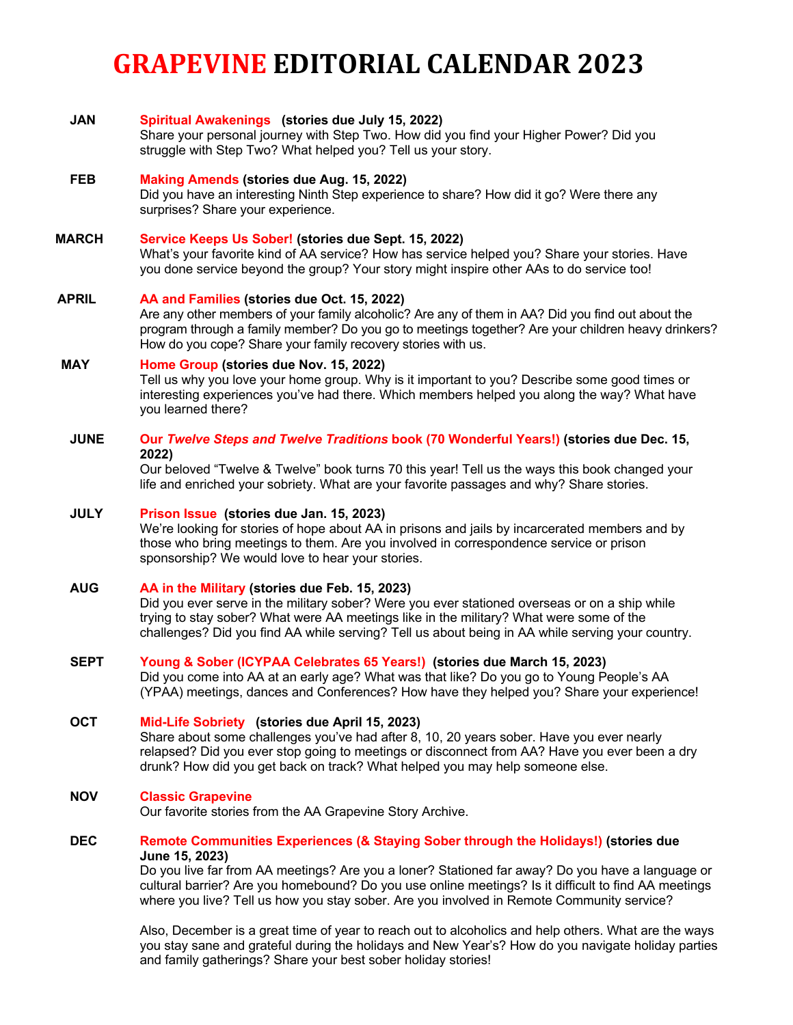# **GRAPEVINE EDITORIAL CALENDAR 2023**

| <b>JAN</b>   | Spiritual Awakenings (stories due July 15, 2022)<br>Share your personal journey with Step Two. How did you find your Higher Power? Did you<br>struggle with Step Two? What helped you? Tell us your story.                                                                                                                                                                                                     |
|--------------|----------------------------------------------------------------------------------------------------------------------------------------------------------------------------------------------------------------------------------------------------------------------------------------------------------------------------------------------------------------------------------------------------------------|
| <b>FEB</b>   | Making Amends (stories due Aug. 15, 2022)<br>Did you have an interesting Ninth Step experience to share? How did it go? Were there any<br>surprises? Share your experience.                                                                                                                                                                                                                                    |
| <b>MARCH</b> | Service Keeps Us Sober! (stories due Sept. 15, 2022)<br>What's your favorite kind of AA service? How has service helped you? Share your stories. Have<br>you done service beyond the group? Your story might inspire other AAs to do service too!                                                                                                                                                              |
| <b>APRIL</b> | AA and Families (stories due Oct. 15, 2022)<br>Are any other members of your family alcoholic? Are any of them in AA? Did you find out about the<br>program through a family member? Do you go to meetings together? Are your children heavy drinkers?<br>How do you cope? Share your family recovery stories with us.                                                                                         |
| <b>MAY</b>   | Home Group (stories due Nov. 15, 2022)<br>Tell us why you love your home group. Why is it important to you? Describe some good times or<br>interesting experiences you've had there. Which members helped you along the way? What have<br>you learned there?                                                                                                                                                   |
| <b>JUNE</b>  | Our Twelve Steps and Twelve Traditions book (70 Wonderful Years!) (stories due Dec. 15,<br>2022)<br>Our beloved "Twelve & Twelve" book turns 70 this year! Tell us the ways this book changed your<br>life and enriched your sobriety. What are your favorite passages and why? Share stories.                                                                                                                 |
| <b>JULY</b>  | Prison Issue (stories due Jan. 15, 2023)<br>We're looking for stories of hope about AA in prisons and jails by incarcerated members and by<br>those who bring meetings to them. Are you involved in correspondence service or prison<br>sponsorship? We would love to hear your stories.                                                                                                                       |
| <b>AUG</b>   | AA in the Military (stories due Feb. 15, 2023)<br>Did you ever serve in the military sober? Were you ever stationed overseas or on a ship while<br>trying to stay sober? What were AA meetings like in the military? What were some of the<br>challenges? Did you find AA while serving? Tell us about being in AA while serving your country.                                                                 |
| <b>SEPT</b>  | Young & Sober (ICYPAA Celebrates 65 Years!) (stories due March 15, 2023)<br>Did you come into AA at an early age? What was that like? Do you go to Young People's AA<br>(YPAA) meetings, dances and Conferences? How have they helped you? Share your experience!                                                                                                                                              |
| <b>OCT</b>   | Mid-Life Sobriety (stories due April 15, 2023)<br>Share about some challenges you've had after 8, 10, 20 years sober. Have you ever nearly<br>relapsed? Did you ever stop going to meetings or disconnect from AA? Have you ever been a dry<br>drunk? How did you get back on track? What helped you may help someone else.                                                                                    |
| <b>NOV</b>   | <b>Classic Grapevine</b><br>Our favorite stories from the AA Grapevine Story Archive.                                                                                                                                                                                                                                                                                                                          |
| <b>DEC</b>   | Remote Communities Experiences (& Staying Sober through the Holidays!) (stories due<br>June 15, 2023)<br>Do you live far from AA meetings? Are you a loner? Stationed far away? Do you have a language or<br>cultural barrier? Are you homebound? Do you use online meetings? Is it difficult to find AA meetings<br>where you live? Tell us how you stay sober. Are you involved in Remote Community service? |

Also, December is a great time of year to reach out to alcoholics and help others. What are the ways you stay sane and grateful during the holidays and New Year's? How do you navigate holiday parties and family gatherings? Share your best sober holiday stories!